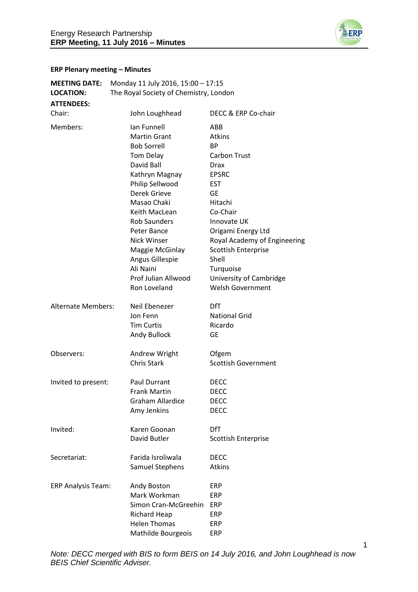

#### **ERP Plenary meeting – Minutes**

| <b>MEETING DATE:</b><br><b>LOCATION:</b> | Monday 11 July 2016, 15:00 - 17:15<br>The Royal Society of Chemistry, London |                              |
|------------------------------------------|------------------------------------------------------------------------------|------------------------------|
| <b>ATTENDEES:</b>                        |                                                                              |                              |
| Chair:                                   | John Loughhead                                                               | DECC & ERP Co-chair          |
| Members:                                 | Ian Funnell                                                                  | ABB                          |
|                                          | <b>Martin Grant</b>                                                          | <b>Atkins</b>                |
|                                          | <b>Bob Sorrell</b>                                                           | <b>BP</b>                    |
|                                          | Tom Delay                                                                    | <b>Carbon Trust</b>          |
|                                          | David Ball                                                                   | <b>Drax</b>                  |
|                                          | Kathryn Magnay                                                               | <b>EPSRC</b>                 |
|                                          | Philip Sellwood                                                              | <b>EST</b>                   |
|                                          | Derek Grieve                                                                 | GE                           |
|                                          | Masao Chaki                                                                  | Hitachi                      |
|                                          | Keith MacLean                                                                | Co-Chair                     |
|                                          | <b>Rob Saunders</b>                                                          | Innovate UK                  |
|                                          | Peter Bance                                                                  |                              |
|                                          | <b>Nick Winser</b>                                                           | Origami Energy Ltd           |
|                                          |                                                                              | Royal Academy of Engineering |
|                                          | Maggie McGinlay                                                              | <b>Scottish Enterprise</b>   |
|                                          | Angus Gillespie                                                              | Shell                        |
|                                          | Ali Naini                                                                    | Turquoise                    |
|                                          | Prof Julian Allwood                                                          | University of Cambridge      |
|                                          | Ron Loveland                                                                 | <b>Welsh Government</b>      |
| <b>Alternate Members:</b>                | Neil Ebenezer                                                                | <b>DfT</b>                   |
|                                          | Jon Fenn                                                                     | <b>National Grid</b>         |
|                                          | <b>Tim Curtis</b>                                                            | Ricardo                      |
|                                          | Andy Bullock                                                                 | <b>GE</b>                    |
|                                          |                                                                              |                              |
| Observers:                               | Andrew Wright                                                                | Ofgem                        |
|                                          | <b>Chris Stark</b>                                                           | <b>Scottish Government</b>   |
|                                          |                                                                              |                              |
| Invited to present:                      | <b>Paul Durrant</b>                                                          | <b>DECC</b>                  |
|                                          | <b>Frank Martin</b>                                                          | <b>DECC</b>                  |
|                                          | Graham Allardice                                                             | <b>DECC</b>                  |
|                                          | Amy Jenkins                                                                  | <b>DECC</b>                  |
| Invited:                                 | Karen Goonan                                                                 | <b>DfT</b>                   |
|                                          | David Butler                                                                 | <b>Scottish Enterprise</b>   |
|                                          |                                                                              |                              |
| Secretariat:                             | Farida Isroliwala                                                            | <b>DECC</b>                  |
|                                          | Samuel Stephens                                                              | Atkins                       |
|                                          |                                                                              |                              |
| <b>ERP Analysis Team:</b>                | Andy Boston                                                                  | <b>ERP</b>                   |
|                                          | Mark Workman                                                                 | <b>ERP</b>                   |
|                                          | Simon Cran-McGreehin                                                         | <b>ERP</b>                   |
|                                          | <b>Richard Heap</b>                                                          | ERP                          |
|                                          | <b>Helen Thomas</b>                                                          | ERP                          |
|                                          | Mathilde Bourgeois                                                           | ERP                          |

1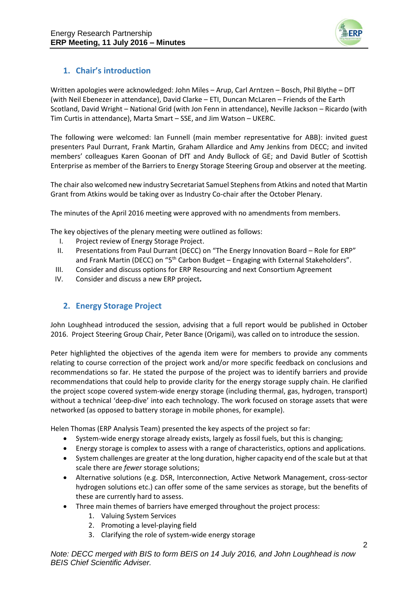

# **1. Chair's introduction**

Written apologies were acknowledged: John Miles – Arup, Carl Arntzen – Bosch, Phil Blythe – DfT (with Neil Ebenezer in attendance), David Clarke – ETI, Duncan McLaren – Friends of the Earth Scotland, David Wright – National Grid (with Jon Fenn in attendance), Neville Jackson – Ricardo (with Tim Curtis in attendance), Marta Smart – SSE, and Jim Watson – UKERC.

The following were welcomed: Ian Funnell (main member representative for ABB): invited guest presenters Paul Durrant, Frank Martin, Graham Allardice and Amy Jenkins from DECC; and invited members' colleagues Karen Goonan of DfT and Andy Bullock of GE; and David Butler of Scottish Enterprise as member of the Barriers to Energy Storage Steering Group and observer at the meeting.

The chair also welcomed new industry Secretariat Samuel Stephens from Atkins and noted that Martin Grant from Atkins would be taking over as Industry Co-chair after the October Plenary.

The minutes of the April 2016 meeting were approved with no amendments from members.

The key objectives of the plenary meeting were outlined as follows:

- I. Project review of Energy Storage Project.
- II. Presentations from Paul Durrant (DECC) on "The Energy Innovation Board Role for ERP" and Frank Martin (DECC) on "5<sup>th</sup> Carbon Budget – Engaging with External Stakeholders".
- III. Consider and discuss options for ERP Resourcing and next Consortium Agreement
- IV. Consider and discuss a new ERP project**.**

## **2. Energy Storage Project**

John Loughhead introduced the session, advising that a full report would be published in October 2016. Project Steering Group Chair, Peter Bance (Origami), was called on to introduce the session.

Peter highlighted the objectives of the agenda item were for members to provide any comments relating to course correction of the project work and/or more specific feedback on conclusions and recommendations so far. He stated the purpose of the project was to identify barriers and provide recommendations that could help to provide clarity for the energy storage supply chain. He clarified the project scope covered system-wide energy storage (including thermal, gas, hydrogen, transport) without a technical 'deep-dive' into each technology. The work focused on storage assets that were networked (as opposed to battery storage in mobile phones, for example).

Helen Thomas (ERP Analysis Team) presented the key aspects of the project so far:

- System-wide energy storage already exists, largely as fossil fuels, but this is changing;
- Energy storage is complex to assess with a range of characteristics, options and applications.
- System challenges are greater at the long duration, higher capacity end of the scale but at that scale there are *fewer* storage solutions;
- Alternative solutions (e.g. DSR, Interconnection, Active Network Management, cross-sector hydrogen solutions etc.) can offer some of the same services as storage, but the benefits of these are currently hard to assess.
- Three main themes of barriers have emerged throughout the project process:
	- 1. Valuing System Services
	- 2. Promoting a level-playing field
	- 3. Clarifying the role of system-wide energy storage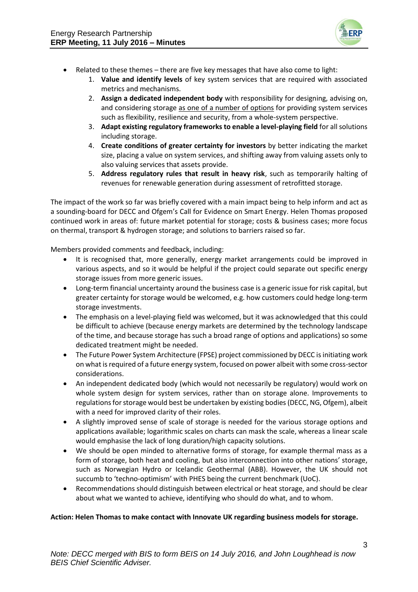

- Related to these themes there are five key messages that have also come to light:
	- 1. **Value and identify levels** of key system services that are required with associated metrics and mechanisms.
	- 2. **Assign a dedicated independent body** with responsibility for designing, advising on, and considering storage as one of a number of options for providing system services such as flexibility, resilience and security, from a whole-system perspective.
	- 3. **Adapt existing regulatory frameworks to enable a level-playing field** for all solutions including storage.
	- 4. **Create conditions of greater certainty for investors** by better indicating the market size, placing a value on system services, and shifting away from valuing assets only to also valuing services that assets provide.
	- 5. **Address regulatory rules that result in heavy risk**, such as temporarily halting of revenues for renewable generation during assessment of retrofitted storage.

The impact of the work so far was briefly covered with a main impact being to help inform and act as a sounding-board for DECC and Ofgem's Call for Evidence on Smart Energy. Helen Thomas proposed continued work in areas of: future market potential for storage; costs & business cases; more focus on thermal, transport & hydrogen storage; and solutions to barriers raised so far.

Members provided comments and feedback, including:

- It is recognised that, more generally, energy market arrangements could be improved in various aspects, and so it would be helpful if the project could separate out specific energy storage issues from more generic issues.
- Long-term financial uncertainty around the business case is a generic issue for risk capital, but greater certainty for storage would be welcomed, e.g. how customers could hedge long-term storage investments.
- The emphasis on a level-playing field was welcomed, but it was acknowledged that this could be difficult to achieve (because energy markets are determined by the technology landscape of the time, and because storage has such a broad range of options and applications) so some dedicated treatment might be needed.
- The Future Power System Architecture (FPSE) project commissioned by DECC is initiating work on what is required of a future energy system, focused on power albeit with some cross-sector considerations.
- An independent dedicated body (which would not necessarily be regulatory) would work on whole system design for system services, rather than on storage alone. Improvements to regulations for storage would best be undertaken by existing bodies (DECC, NG, Ofgem), albeit with a need for improved clarity of their roles.
- A slightly improved sense of scale of storage is needed for the various storage options and applications available; logarithmic scales on charts can mask the scale, whereas a linear scale would emphasise the lack of long duration/high capacity solutions.
- We should be open minded to alternative forms of storage, for example thermal mass as a form of storage, both heat and cooling, but also interconnection into other nations' storage, such as Norwegian Hydro or Icelandic Geothermal (ABB). However, the UK should not succumb to 'techno-optimism' with PHES being the current benchmark (UoC).
- Recommendations should distinguish between electrical or heat storage, and should be clear about what we wanted to achieve, identifying who should do what, and to whom.

#### **Action: Helen Thomas to make contact with Innovate UK regarding business models for storage.**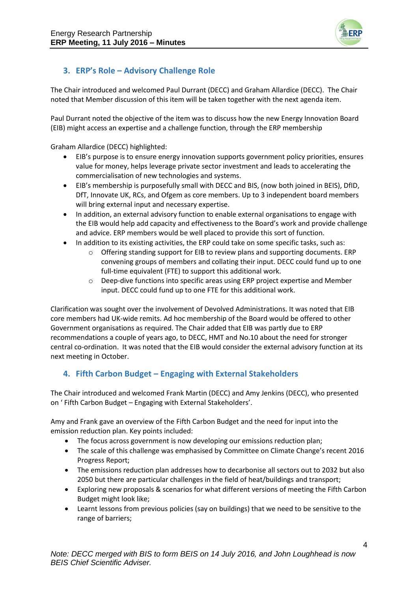

# **3. ERP's Role – Advisory Challenge Role**

The Chair introduced and welcomed Paul Durrant (DECC) and Graham Allardice (DECC). The Chair noted that Member discussion of this item will be taken together with the next agenda item.

Paul Durrant noted the objective of the item was to discuss how the new Energy Innovation Board (EIB) might access an expertise and a challenge function, through the ERP membership

Graham Allardice (DECC) highlighted:

- EIB's purpose is to ensure energy innovation supports government policy priorities, ensures value for money, helps leverage private sector investment and leads to accelerating the commercialisation of new technologies and systems.
- EIB's membership is purposefully small with DECC and BIS, (now both joined in BEIS), DfID, DfT, Innovate UK, RCs, and Ofgem as core members. Up to 3 independent board members will bring external input and necessary expertise.
- In addition, an external advisory function to enable external organisations to engage with the EIB would help add capacity and effectiveness to the Board's work and provide challenge and advice. ERP members would be well placed to provide this sort of function.
- In addition to its existing activities, the ERP could take on some specific tasks, such as:
	- $\circ$  Offering standing support for EIB to review plans and supporting documents. ERP convening groups of members and collating their input. DECC could fund up to one full-time equivalent (FTE) to support this additional work.
	- o Deep-dive functions into specific areas using ERP project expertise and Member input. DECC could fund up to one FTE for this additional work.

Clarification was sought over the involvement of Devolved Administrations. It was noted that EIB core members had UK-wide remits. Ad hoc membership of the Board would be offered to other Government organisations as required. The Chair added that EIB was partly due to ERP recommendations a couple of years ago, to DECC, HMT and No.10 about the need for stronger central co-ordination. It was noted that the EIB would consider the external advisory function at its next meeting in October.

## **4. Fifth Carbon Budget – Engaging with External Stakeholders**

The Chair introduced and welcomed Frank Martin (DECC) and Amy Jenkins (DECC), who presented on ' Fifth Carbon Budget – Engaging with External Stakeholders'.

Amy and Frank gave an overview of the Fifth Carbon Budget and the need for input into the emission reduction plan. Key points included:

- The focus across government is now developing our emissions reduction plan;
- The scale of this challenge was emphasised by Committee on Climate Change's recent 2016 Progress Report;
- The emissions reduction plan addresses how to decarbonise all sectors out to 2032 but also 2050 but there are particular challenges in the field of heat/buildings and transport;
- Exploring new proposals & scenarios for what different versions of meeting the Fifth Carbon Budget might look like;
- Learnt lessons from previous policies (say on buildings) that we need to be sensitive to the range of barriers;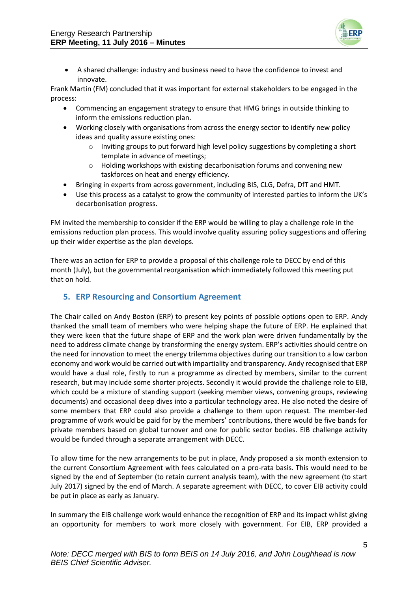

 A shared challenge: industry and business need to have the confidence to invest and innovate.

Frank Martin (FM) concluded that it was important for external stakeholders to be engaged in the process:

- Commencing an engagement strategy to ensure that HMG brings in outside thinking to inform the emissions reduction plan.
- Working closely with organisations from across the energy sector to identify new policy ideas and quality assure existing ones:
	- $\circ$  Inviting groups to put forward high level policy suggestions by completing a short template in advance of meetings;
	- Holding workshops with existing decarbonisation forums and convening new taskforces on heat and energy efficiency.
- Bringing in experts from across government, including BIS, CLG, Defra, DfT and HMT.
- Use this process as a catalyst to grow the community of interested parties to inform the UK's decarbonisation progress.

FM invited the membership to consider if the ERP would be willing to play a challenge role in the emissions reduction plan process. This would involve quality assuring policy suggestions and offering up their wider expertise as the plan develops.

There was an action for ERP to provide a proposal of this challenge role to DECC by end of this month (July), but the governmental reorganisation which immediately followed this meeting put that on hold.

## **5. ERP Resourcing and Consortium Agreement**

The Chair called on Andy Boston (ERP) to present key points of possible options open to ERP. Andy thanked the small team of members who were helping shape the future of ERP. He explained that they were keen that the future shape of ERP and the work plan were driven fundamentally by the need to address climate change by transforming the energy system. ERP's activities should centre on the need for innovation to meet the energy trilemma objectives during our transition to a low carbon economy and work would be carried out with impartiality and transparency. Andy recognised that ERP would have a dual role, firstly to run a programme as directed by members, similar to the current research, but may include some shorter projects. Secondly it would provide the challenge role to EIB, which could be a mixture of standing support (seeking member views, convening groups, reviewing documents) and occasional deep dives into a particular technology area. He also noted the desire of some members that ERP could also provide a challenge to them upon request. The member-led programme of work would be paid for by the members' contributions, there would be five bands for private members based on global turnover and one for public sector bodies. EIB challenge activity would be funded through a separate arrangement with DECC.

To allow time for the new arrangements to be put in place, Andy proposed a six month extension to the current Consortium Agreement with fees calculated on a pro-rata basis. This would need to be signed by the end of September (to retain current analysis team), with the new agreement (to start July 2017) signed by the end of March. A separate agreement with DECC, to cover EIB activity could be put in place as early as January.

In summary the EIB challenge work would enhance the recognition of ERP and its impact whilst giving an opportunity for members to work more closely with government. For EIB, ERP provided a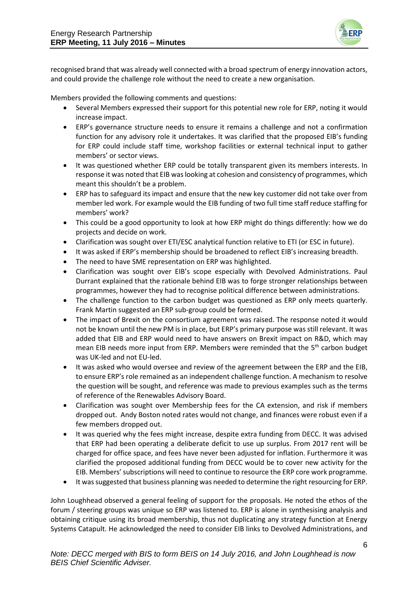

recognised brand that was already well connected with a broad spectrum of energy innovation actors, and could provide the challenge role without the need to create a new organisation.

Members provided the following comments and questions:

- Several Members expressed their support for this potential new role for ERP, noting it would increase impact.
- ERP's governance structure needs to ensure it remains a challenge and not a confirmation function for any advisory role it undertakes. It was clarified that the proposed EIB's funding for ERP could include staff time, workshop facilities or external technical input to gather members' or sector views.
- It was questioned whether ERP could be totally transparent given its members interests. In response it was noted that EIB was looking at cohesion and consistency of programmes, which meant this shouldn't be a problem.
- ERP has to safeguard its impact and ensure that the new key customer did not take over from member led work. For example would the EIB funding of two full time staff reduce staffing for members' work?
- This could be a good opportunity to look at how ERP might do things differently: how we do projects and decide on work.
- Clarification was sought over ETI/ESC analytical function relative to ETI (or ESC in future).
- It was asked if ERP's membership should be broadened to reflect EIB's increasing breadth.
- The need to have SME representation on ERP was highlighted.
- Clarification was sought over EIB's scope especially with Devolved Administrations. Paul Durrant explained that the rationale behind EIB was to forge stronger relationships between programmes, however they had to recognise political difference between administrations.
- The challenge function to the carbon budget was questioned as ERP only meets quarterly. Frank Martin suggested an ERP sub-group could be formed.
- The impact of Brexit on the consortium agreement was raised. The response noted it would not be known until the new PM is in place, but ERP's primary purpose was still relevant. It was added that EIB and ERP would need to have answers on Brexit impact on R&D, which may mean EIB needs more input from ERP. Members were reminded that the 5<sup>th</sup> carbon budget was UK-led and not EU-led.
- It was asked who would oversee and review of the agreement between the ERP and the EIB, to ensure ERP's role remained as an independent challenge function. A mechanism to resolve the question will be sought, and reference was made to previous examples such as the terms of reference of the Renewables Advisory Board.
- Clarification was sought over Membership fees for the CA extension, and risk if members dropped out. Andy Boston noted rates would not change, and finances were robust even if a few members dropped out.
- It was queried why the fees might increase, despite extra funding from DECC. It was advised that ERP had been operating a deliberate deficit to use up surplus. From 2017 rent will be charged for office space, and fees have never been adjusted for inflation. Furthermore it was clarified the proposed additional funding from DECC would be to cover new activity for the EIB. Members' subscriptions will need to continue to resource the ERP core work programme.
- It was suggested that business planning was needed to determine the right resourcing for ERP.

John Loughhead observed a general feeling of support for the proposals. He noted the ethos of the forum / steering groups was unique so ERP was listened to. ERP is alone in synthesising analysis and obtaining critique using its broad membership, thus not duplicating any strategy function at Energy Systems Catapult. He acknowledged the need to consider EIB links to Devolved Administrations, and